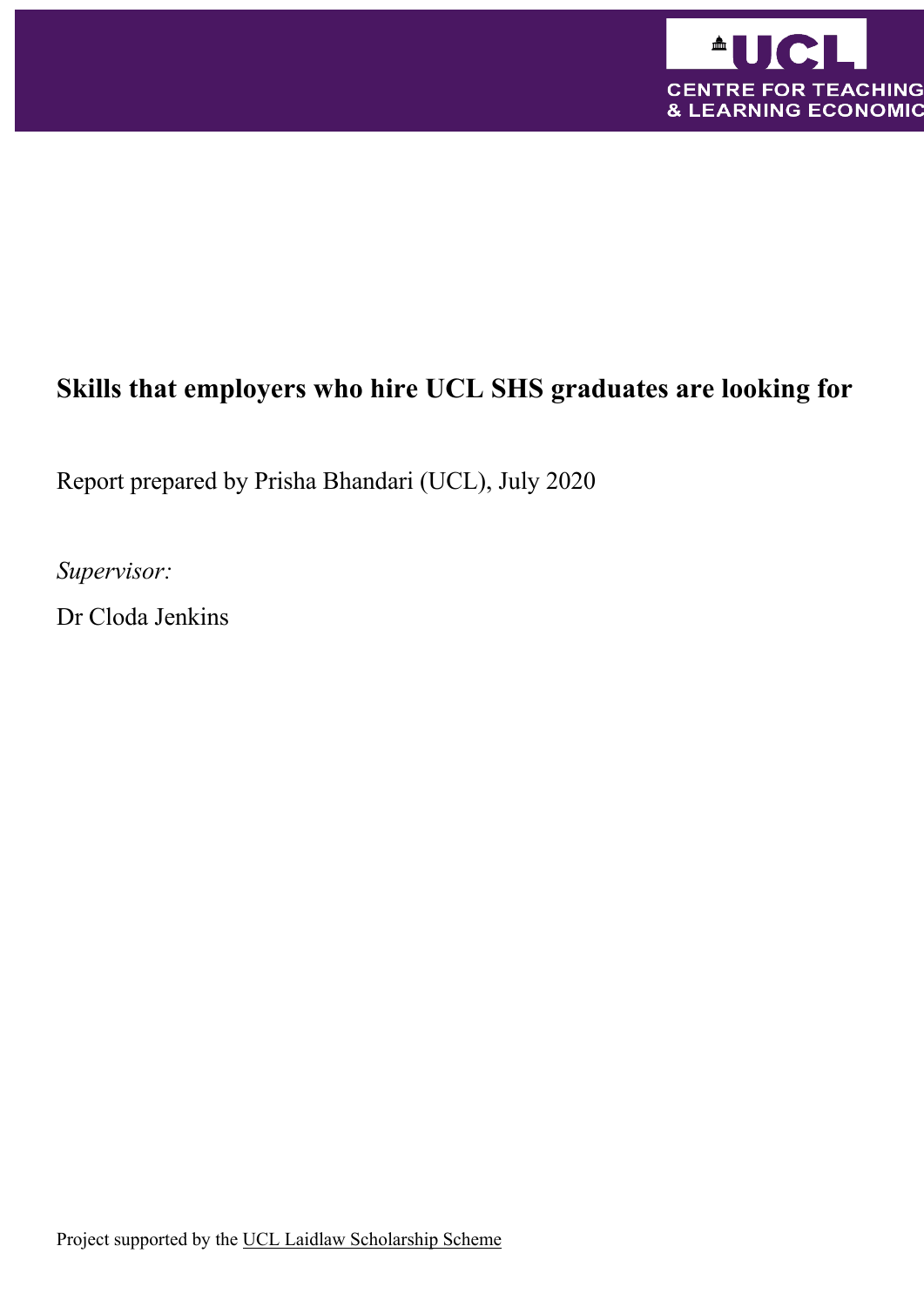

# **Skills that employers who hire UCL SHS graduates are looking for**

Report prepared by Prisha Bhandari (UCL), July 2020

*Supervisor:*

Dr Cloda Jenkins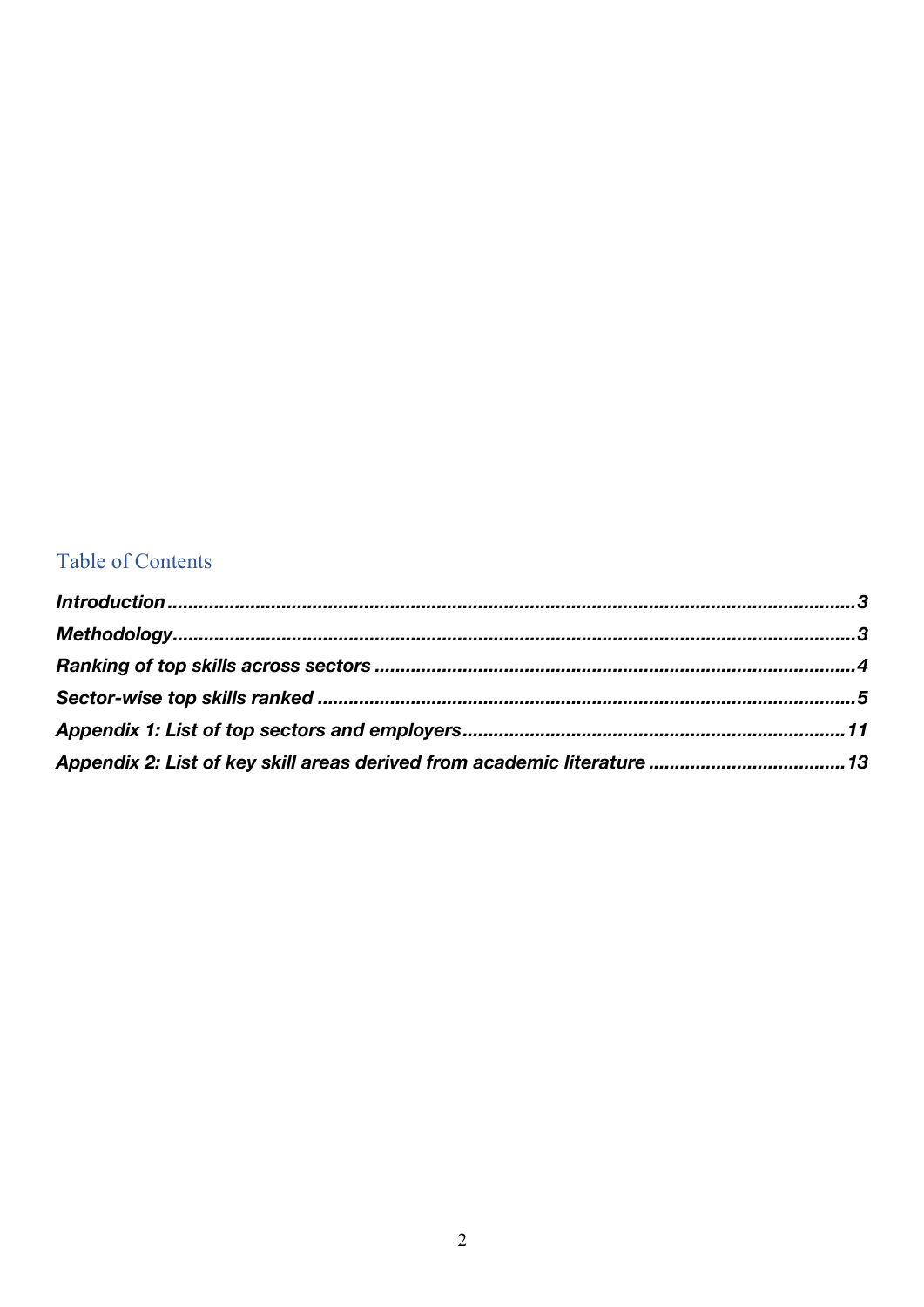### Table of Contents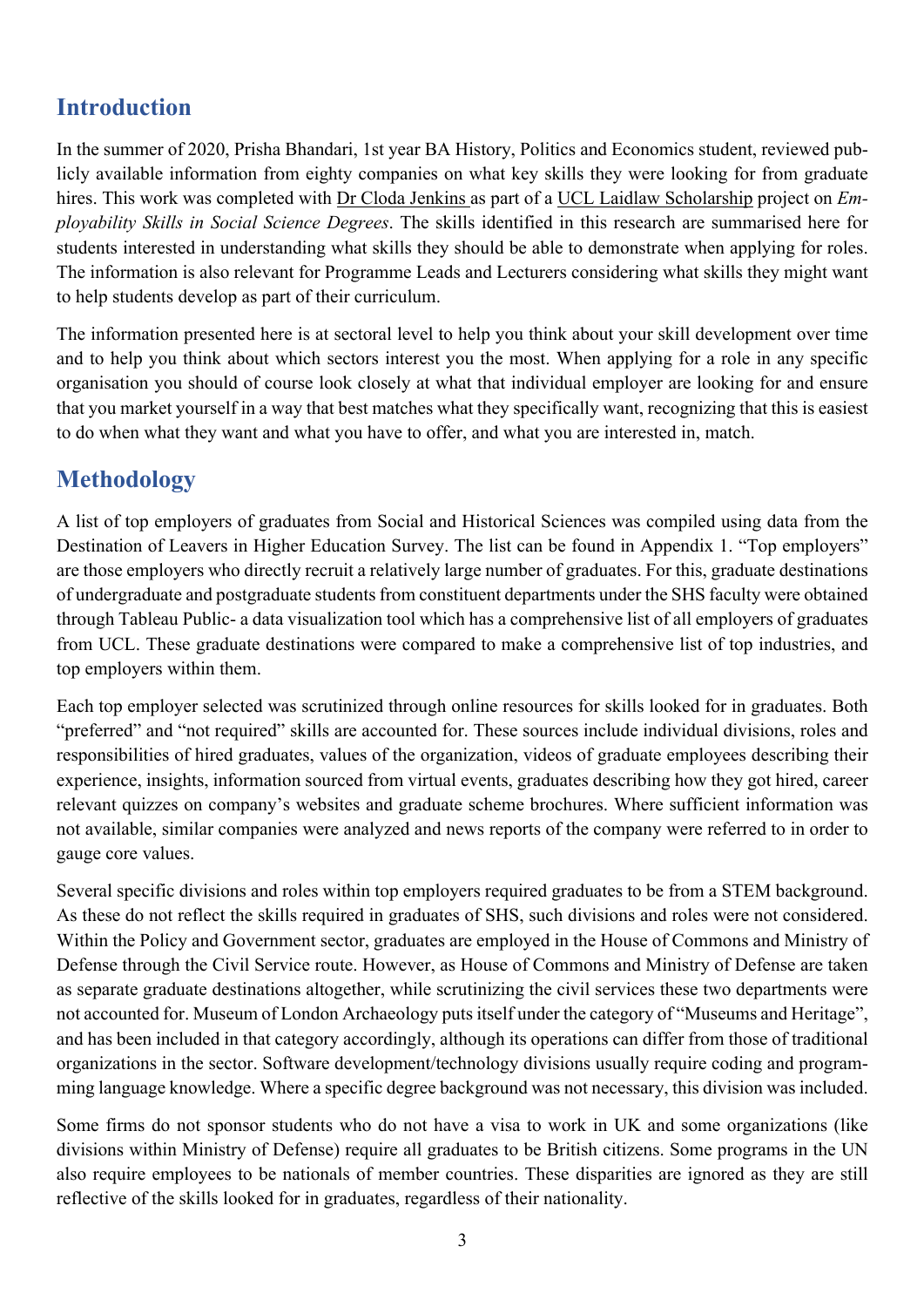# **Introduction**

In the summer of 2020, Prisha Bhandari, 1st year BA History, Politics and Economics student, reviewed publicly available information from eighty companies on what key skills they were looking for from graduate hires. This work was completed with Dr Cloda Jenkins as part of a UCL Laidlaw Scholarship project on *Employability Skills in Social Science Degrees*. The skills identified in this research are summarised here for students interested in understanding what skills they should be able to demonstrate when applying for roles. The information is also relevant for Programme Leads and Lecturers considering what skills they might want to help students develop as part of their curriculum.

The information presented here is at sectoral level to help you think about your skill development over time and to help you think about which sectors interest you the most. When applying for a role in any specific organisation you should of course look closely at what that individual employer are looking for and ensure that you market yourself in a way that best matches what they specifically want, recognizing that this is easiest to do when what they want and what you have to offer, and what you are interested in, match.

### **Methodology**

A list of top employers of graduates from Social and Historical Sciences was compiled using data from the Destination of Leavers in Higher Education Survey. The list can be found in Appendix 1. "Top employers" are those employers who directly recruit a relatively large number of graduates. For this, graduate destinations of undergraduate and postgraduate students from constituent departments under the SHS faculty were obtained through Tableau Public- a data visualization tool which has a comprehensive list of all employers of graduates from UCL. These graduate destinations were compared to make a comprehensive list of top industries, and top employers within them.

Each top employer selected was scrutinized through online resources for skills looked for in graduates. Both "preferred" and "not required" skills are accounted for. These sources include individual divisions, roles and responsibilities of hired graduates, values of the organization, videos of graduate employees describing their experience, insights, information sourced from virtual events, graduates describing how they got hired, career relevant quizzes on company's websites and graduate scheme brochures. Where sufficient information was not available, similar companies were analyzed and news reports of the company were referred to in order to gauge core values.

Several specific divisions and roles within top employers required graduates to be from a STEM background. As these do not reflect the skills required in graduates of SHS, such divisions and roles were not considered. Within the Policy and Government sector, graduates are employed in the House of Commons and Ministry of Defense through the Civil Service route. However, as House of Commons and Ministry of Defense are taken as separate graduate destinations altogether, while scrutinizing the civil services these two departments were not accounted for. Museum of London Archaeology puts itself under the category of "Museums and Heritage", and has been included in that category accordingly, although its operations can differ from those of traditional organizations in the sector. Software development/technology divisions usually require coding and programming language knowledge. Where a specific degree background was not necessary, this division was included.

Some firms do not sponsor students who do not have a visa to work in UK and some organizations (like divisions within Ministry of Defense) require all graduates to be British citizens. Some programs in the UN also require employees to be nationals of member countries. These disparities are ignored as they are still reflective of the skills looked for in graduates, regardless of their nationality.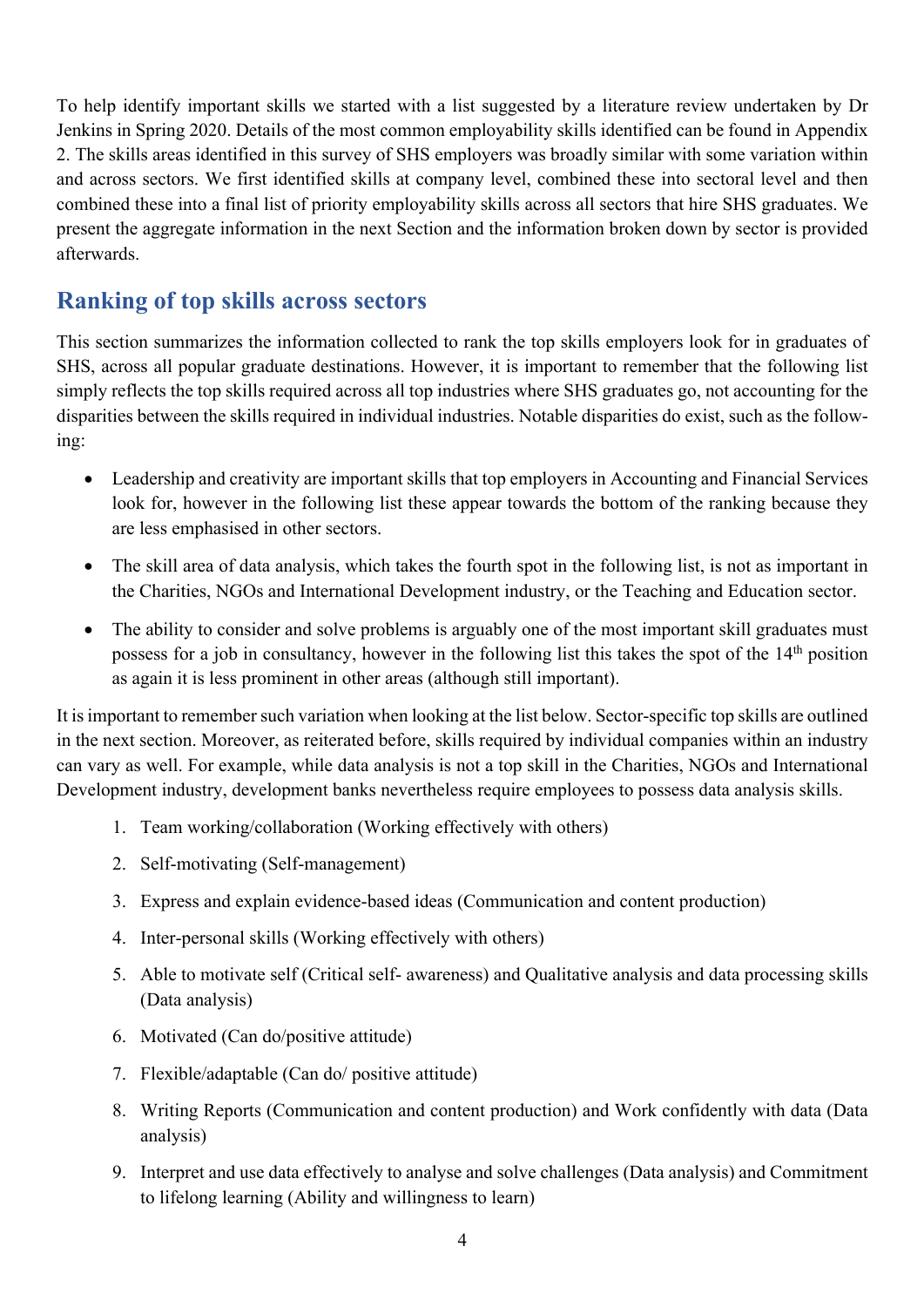To help identify important skills we started with a list suggested by a literature review undertaken by Dr Jenkins in Spring 2020. Details of the most common employability skills identified can be found in Appendix 2. The skills areas identified in this survey of SHS employers was broadly similar with some variation within and across sectors. We first identified skills at company level, combined these into sectoral level and then combined these into a final list of priority employability skills across all sectors that hire SHS graduates. We present the aggregate information in the next Section and the information broken down by sector is provided afterwards.

#### **Ranking of top skills across sectors**

This section summarizes the information collected to rank the top skills employers look for in graduates of SHS, across all popular graduate destinations. However, it is important to remember that the following list simply reflects the top skills required across all top industries where SHS graduates go, not accounting for the disparities between the skills required in individual industries. Notable disparities do exist, such as the following:

- Leadership and creativity are important skills that top employers in Accounting and Financial Services look for, however in the following list these appear towards the bottom of the ranking because they are less emphasised in other sectors.
- The skill area of data analysis, which takes the fourth spot in the following list, is not as important in the Charities, NGOs and International Development industry, or the Teaching and Education sector.
- The ability to consider and solve problems is arguably one of the most important skill graduates must possess for a job in consultancy, however in the following list this takes the spot of the 14th position as again it is less prominent in other areas (although still important).

It is important to remember such variation when looking at the list below. Sector-specific top skills are outlined in the next section. Moreover, as reiterated before, skills required by individual companies within an industry can vary as well. For example, while data analysis is not a top skill in the Charities, NGOs and International Development industry, development banks nevertheless require employees to possess data analysis skills.

- 1. Team working/collaboration (Working effectively with others)
- 2. Self-motivating (Self-management)
- 3. Express and explain evidence-based ideas (Communication and content production)
- 4. Inter-personal skills (Working effectively with others)
- 5. Able to motivate self (Critical self- awareness) and Qualitative analysis and data processing skills (Data analysis)
- 6. Motivated (Can do/positive attitude)
- 7. Flexible/adaptable (Can do/ positive attitude)
- 8. Writing Reports (Communication and content production) and Work confidently with data (Data analysis)
- 9. Interpret and use data effectively to analyse and solve challenges (Data analysis) and Commitment to lifelong learning (Ability and willingness to learn)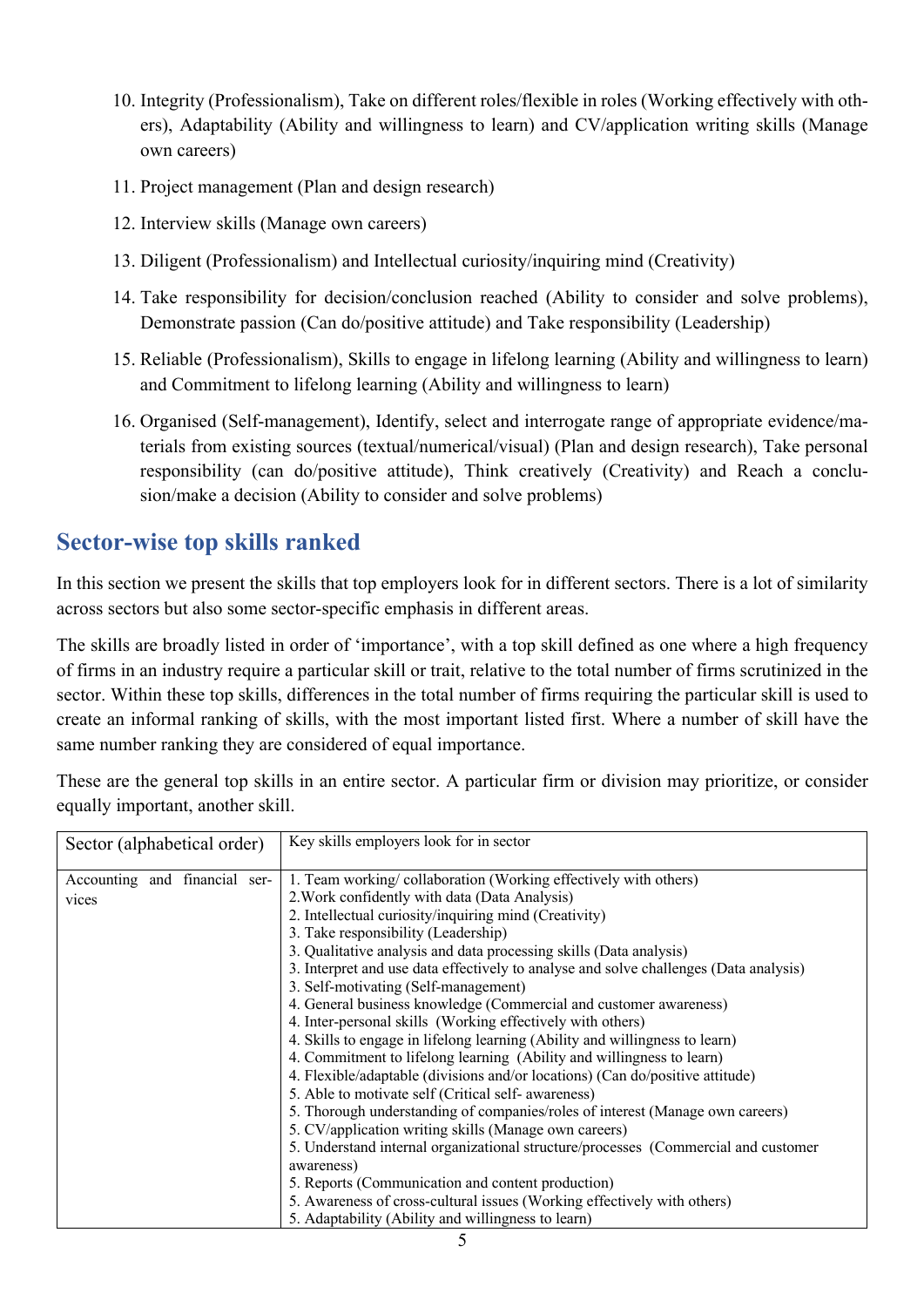- 10. Integrity (Professionalism), Take on different roles/flexible in roles (Working effectively with others), Adaptability (Ability and willingness to learn) and CV/application writing skills (Manage own careers)
- 11. Project management (Plan and design research)
- 12. Interview skills (Manage own careers)
- 13. Diligent (Professionalism) and Intellectual curiosity/inquiring mind (Creativity)
- 14. Take responsibility for decision/conclusion reached (Ability to consider and solve problems), Demonstrate passion (Can do/positive attitude) and Take responsibility (Leadership)
- 15. Reliable (Professionalism), Skills to engage in lifelong learning (Ability and willingness to learn) and Commitment to lifelong learning (Ability and willingness to learn)
- 16. Organised (Self-management), Identify, select and interrogate range of appropriate evidence/materials from existing sources (textual/numerical/visual) (Plan and design research), Take personal responsibility (can do/positive attitude), Think creatively (Creativity) and Reach a conclusion/make a decision (Ability to consider and solve problems)

# **Sector-wise top skills ranked**

In this section we present the skills that top employers look for in different sectors. There is a lot of similarity across sectors but also some sector-specific emphasis in different areas.

The skills are broadly listed in order of 'importance', with a top skill defined as one where a high frequency of firms in an industry require a particular skill or trait, relative to the total number of firms scrutinized in the sector. Within these top skills, differences in the total number of firms requiring the particular skill is used to create an informal ranking of skills, with the most important listed first. Where a number of skill have the same number ranking they are considered of equal importance.

These are the general top skills in an entire sector. A particular firm or division may prioritize, or consider equally important, another skill.

| Sector (alphabetical order)   | Key skills employers look for in sector                                               |
|-------------------------------|---------------------------------------------------------------------------------------|
| Accounting and financial ser- | 1. Team working/collaboration (Working effectively with others)                       |
| vices                         | 2. Work confidently with data (Data Analysis)                                         |
|                               | 2. Intellectual curiosity/inquiring mind (Creativity)                                 |
|                               | 3. Take responsibility (Leadership)                                                   |
|                               | 3. Qualitative analysis and data processing skills (Data analysis)                    |
|                               | 3. Interpret and use data effectively to analyse and solve challenges (Data analysis) |
|                               | 3. Self-motivating (Self-management)                                                  |
|                               | 4. General business knowledge (Commercial and customer awareness)                     |
|                               | 4. Inter-personal skills (Working effectively with others)                            |
|                               | 4. Skills to engage in lifelong learning (Ability and willingness to learn)           |
|                               | 4. Commitment to lifelong learning (Ability and willingness to learn)                 |
|                               | 4. Flexible/adaptable (divisions and/or locations) (Can do/positive attitude)         |
|                               | 5. Able to motivate self (Critical self- awareness)                                   |
|                               | 5. Thorough understanding of companies/roles of interest (Manage own careers)         |
|                               | 5. CV/application writing skills (Manage own careers)                                 |
|                               | 5. Understand internal organizational structure/processes (Commercial and customer    |
|                               | awareness)                                                                            |
|                               | 5. Reports (Communication and content production)                                     |
|                               | 5. Awareness of cross-cultural issues (Working effectively with others)               |
|                               | 5. Adaptability (Ability and willingness to learn)                                    |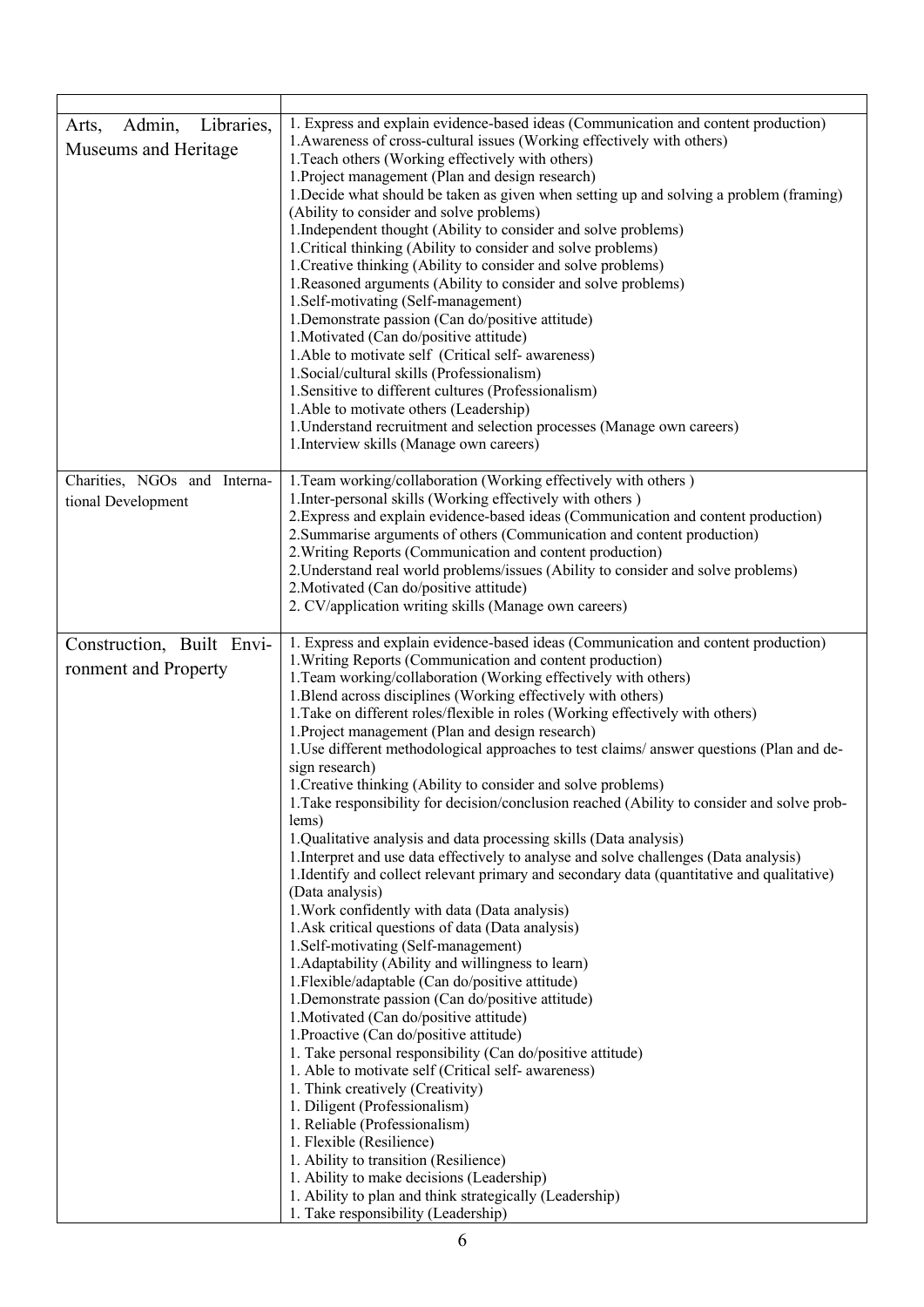| Libraries,<br>Admin,<br>Arts,<br>Museums and Heritage | 1. Express and explain evidence-based ideas (Communication and content production)<br>1. Awareness of cross-cultural issues (Working effectively with others)<br>1. Teach others (Working effectively with others)<br>1. Project management (Plan and design research)<br>1. Decide what should be taken as given when setting up and solving a problem (framing)<br>(Ability to consider and solve problems)<br>1. Independent thought (Ability to consider and solve problems)<br>1. Critical thinking (Ability to consider and solve problems)<br>1. Creative thinking (Ability to consider and solve problems)<br>1. Reasoned arguments (Ability to consider and solve problems)<br>1.Self-motivating (Self-management)<br>1. Demonstrate passion (Can do/positive attitude)<br>1. Motivated (Can do/positive attitude)<br>1. Able to motivate self (Critical self-awareness)<br>1. Social/cultural skills (Professionalism)<br>1. Sensitive to different cultures (Professionalism)<br>1. Able to motivate others (Leadership)<br>1. Understand recruitment and selection processes (Manage own careers)<br>1. Interview skills (Manage own careers)                                                                                                                                                                                                                                                                                                                                                                                                                                                                                                                                                                                                                                                                                        |
|-------------------------------------------------------|--------------------------------------------------------------------------------------------------------------------------------------------------------------------------------------------------------------------------------------------------------------------------------------------------------------------------------------------------------------------------------------------------------------------------------------------------------------------------------------------------------------------------------------------------------------------------------------------------------------------------------------------------------------------------------------------------------------------------------------------------------------------------------------------------------------------------------------------------------------------------------------------------------------------------------------------------------------------------------------------------------------------------------------------------------------------------------------------------------------------------------------------------------------------------------------------------------------------------------------------------------------------------------------------------------------------------------------------------------------------------------------------------------------------------------------------------------------------------------------------------------------------------------------------------------------------------------------------------------------------------------------------------------------------------------------------------------------------------------------------------------------------------------------------------------------------------------------------------|
| Charities, NGOs and Interna-<br>tional Development    | 1. Team working/collaboration (Working effectively with others)<br>1. Inter-personal skills (Working effectively with others)<br>2. Express and explain evidence-based ideas (Communication and content production)<br>2. Summarise arguments of others (Communication and content production)<br>2. Writing Reports (Communication and content production)<br>2. Understand real world problems/issues (Ability to consider and solve problems)<br>2. Motivated (Can do/positive attitude)<br>2. CV/application writing skills (Manage own careers)                                                                                                                                                                                                                                                                                                                                                                                                                                                                                                                                                                                                                                                                                                                                                                                                                                                                                                                                                                                                                                                                                                                                                                                                                                                                                             |
| Construction, Built Envi-<br>ronment and Property     | 1. Express and explain evidence-based ideas (Communication and content production)<br>1. Writing Reports (Communication and content production)<br>1. Team working/collaboration (Working effectively with others)<br>1. Blend across disciplines (Working effectively with others)<br>1. Take on different roles/flexible in roles (Working effectively with others)<br>1. Project management (Plan and design research)<br>1. Use different methodological approaches to test claims/answer questions (Plan and de-<br>sign research)<br>1. Creative thinking (Ability to consider and solve problems)<br>1. Take responsibility for decision/conclusion reached (Ability to consider and solve prob-<br>lems)<br>1.Qualitative analysis and data processing skills (Data analysis)<br>1. Interpret and use data effectively to analyse and solve challenges (Data analysis)<br>1. Identify and collect relevant primary and secondary data (quantitative and qualitative)<br>(Data analysis)<br>1. Work confidently with data (Data analysis)<br>1. Ask critical questions of data (Data analysis)<br>1.Self-motivating (Self-management)<br>1. Adaptability (Ability and willingness to learn)<br>1. Flexible/adaptable (Can do/positive attitude)<br>1. Demonstrate passion (Can do/positive attitude)<br>1. Motivated (Can do/positive attitude)<br>1. Proactive (Can do/positive attitude)<br>1. Take personal responsibility (Can do/positive attitude)<br>1. Able to motivate self (Critical self- awareness)<br>1. Think creatively (Creativity)<br>1. Diligent (Professionalism)<br>1. Reliable (Professionalism)<br>1. Flexible (Resilience)<br>1. Ability to transition (Resilience)<br>1. Ability to make decisions (Leadership)<br>1. Ability to plan and think strategically (Leadership)<br>1. Take responsibility (Leadership) |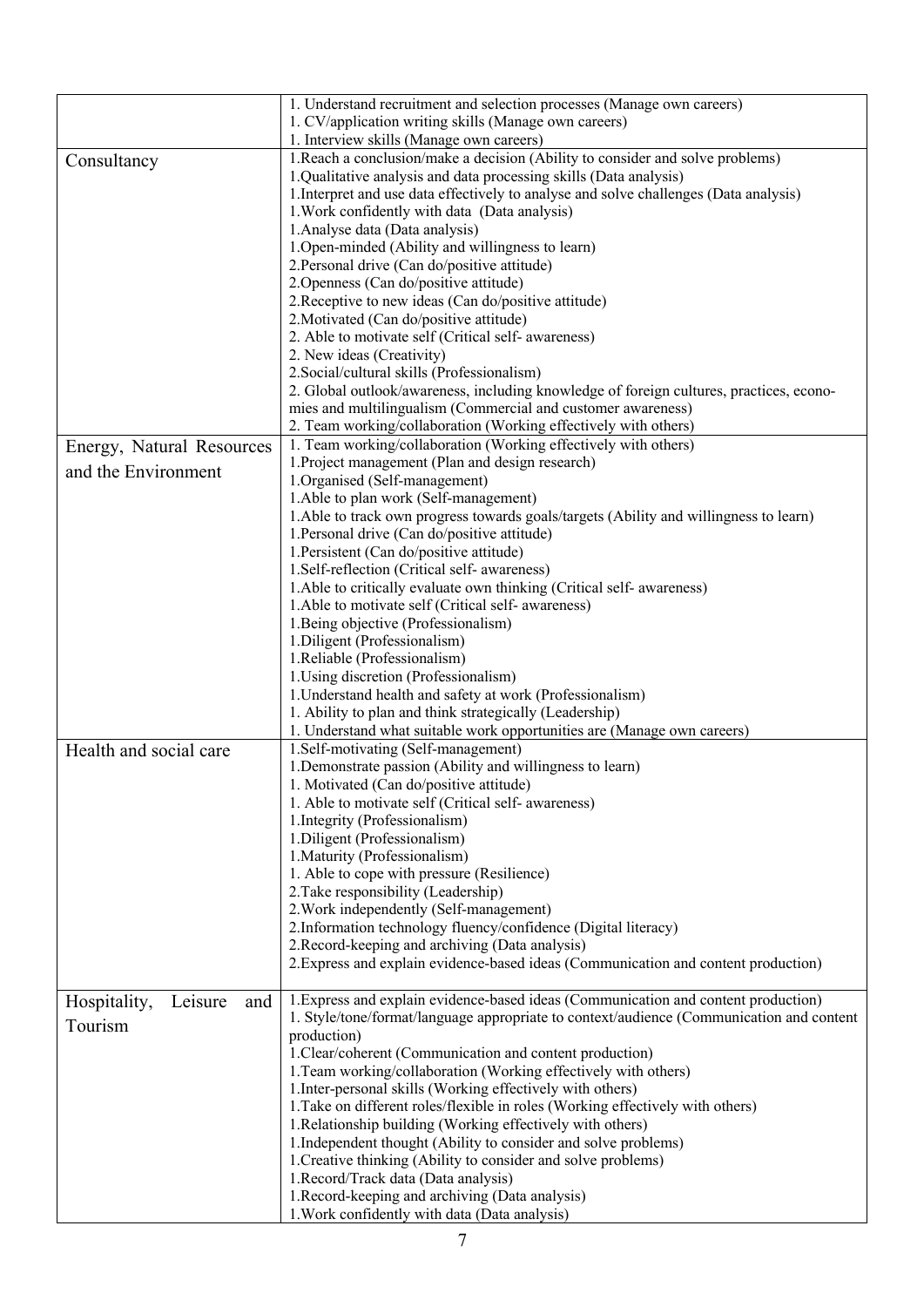|                                | 1. Understand recruitment and selection processes (Manage own careers)<br>1. CV/application writing skills (Manage own careers) |
|--------------------------------|---------------------------------------------------------------------------------------------------------------------------------|
|                                | 1. Interview skills (Manage own careers)                                                                                        |
| Consultancy                    | 1. Reach a conclusion/make a decision (Ability to consider and solve problems)                                                  |
|                                | 1.Qualitative analysis and data processing skills (Data analysis)                                                               |
|                                | 1. Interpret and use data effectively to analyse and solve challenges (Data analysis)                                           |
|                                | 1. Work confidently with data (Data analysis)                                                                                   |
|                                | 1. Analyse data (Data analysis)                                                                                                 |
|                                | 1. Open-minded (Ability and willingness to learn)                                                                               |
|                                | 2. Personal drive (Can do/positive attitude)                                                                                    |
|                                | 2. Openness (Can do/positive attitude)                                                                                          |
|                                | 2. Receptive to new ideas (Can do/positive attitude)                                                                            |
|                                | 2. Motivated (Can do/positive attitude)                                                                                         |
|                                | 2. Able to motivate self (Critical self- awareness)                                                                             |
|                                | 2. New ideas (Creativity)                                                                                                       |
|                                | 2. Social/cultural skills (Professionalism)                                                                                     |
|                                | 2. Global outlook/awareness, including knowledge of foreign cultures, practices, econo-                                         |
|                                | mies and multilingualism (Commercial and customer awareness)                                                                    |
|                                | 2. Team working/collaboration (Working effectively with others)                                                                 |
| Energy, Natural Resources      | 1. Team working/collaboration (Working effectively with others)                                                                 |
| and the Environment            | 1. Project management (Plan and design research)                                                                                |
|                                | 1. Organised (Self-management)                                                                                                  |
|                                | 1. Able to plan work (Self-management)                                                                                          |
|                                | 1.Able to track own progress towards goals/targets (Ability and willingness to learn)                                           |
|                                | 1. Personal drive (Can do/positive attitude)                                                                                    |
|                                | 1. Persistent (Can do/positive attitude)                                                                                        |
|                                | 1.Self-reflection (Critical self- awareness)                                                                                    |
|                                | 1. Able to critically evaluate own thinking (Critical self- awareness)                                                          |
|                                | 1. Able to motivate self (Critical self- awareness)                                                                             |
|                                | 1. Being objective (Professionalism)                                                                                            |
|                                | 1. Diligent (Professionalism)                                                                                                   |
|                                | 1. Reliable (Professionalism)                                                                                                   |
|                                | 1. Using discretion (Professionalism)                                                                                           |
|                                | 1. Understand health and safety at work (Professionalism)                                                                       |
|                                | 1. Ability to plan and think strategically (Leadership)                                                                         |
|                                | 1. Understand what suitable work opportunities are (Manage own careers)                                                         |
| Health and social care         | 1. Self-motivating (Self-management)                                                                                            |
|                                | 1. Demonstrate passion (Ability and willingness to learn)                                                                       |
|                                | 1. Motivated (Can do/positive attitude)                                                                                         |
|                                | 1. Able to motivate self (Critical self- awareness)                                                                             |
|                                | 1. Integrity (Professionalism)                                                                                                  |
|                                | 1. Diligent (Professionalism)                                                                                                   |
|                                | 1. Maturity (Professionalism)                                                                                                   |
|                                | 1. Able to cope with pressure (Resilience)                                                                                      |
|                                | 2. Take responsibility (Leadership)                                                                                             |
|                                | 2. Work independently (Self-management)                                                                                         |
|                                | 2. Information technology fluency/confidence (Digital literacy)                                                                 |
|                                | 2. Record-keeping and archiving (Data analysis)                                                                                 |
|                                | 2. Express and explain evidence-based ideas (Communication and content production)                                              |
| Hospitality,<br>Leisure<br>and | 1. Express and explain evidence-based ideas (Communication and content production)                                              |
| Tourism                        | 1. Style/tone/format/language appropriate to context/audience (Communication and content                                        |
|                                | production)                                                                                                                     |
|                                | 1. Clear/coherent (Communication and content production)                                                                        |
|                                | 1. Team working/collaboration (Working effectively with others)                                                                 |
|                                | 1. Inter-personal skills (Working effectively with others)                                                                      |
|                                | 1. Take on different roles/flexible in roles (Working effectively with others)                                                  |
|                                | 1. Relationship building (Working effectively with others)                                                                      |
|                                | 1. Independent thought (Ability to consider and solve problems)                                                                 |
|                                | 1. Creative thinking (Ability to consider and solve problems)                                                                   |
|                                | 1. Record/Track data (Data analysis)                                                                                            |
|                                | 1. Record-keeping and archiving (Data analysis)                                                                                 |
|                                | 1. Work confidently with data (Data analysis)                                                                                   |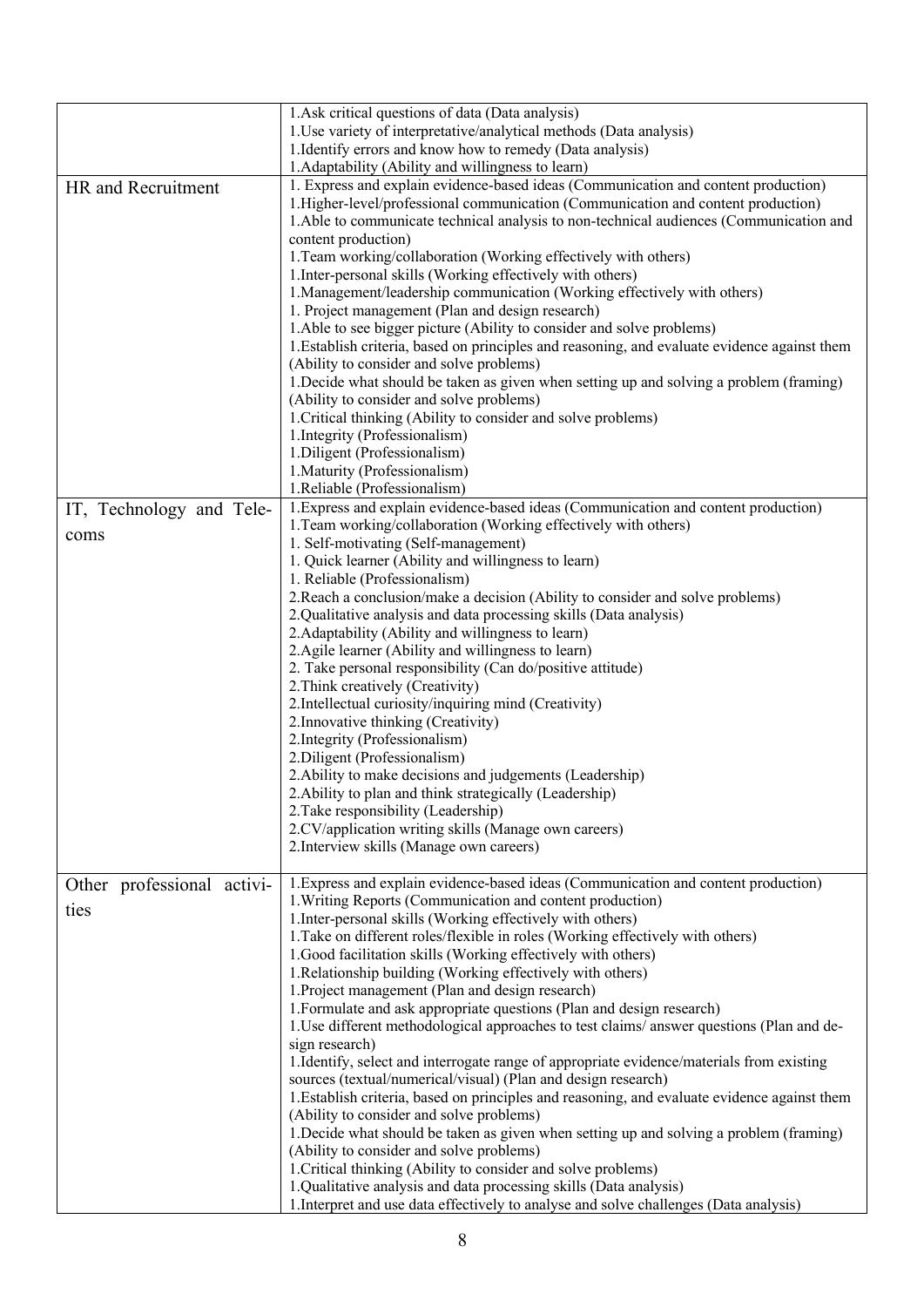|                            | 1. Ask critical questions of data (Data analysis)                                                                            |
|----------------------------|------------------------------------------------------------------------------------------------------------------------------|
|                            | 1. Use variety of interpretative/analytical methods (Data analysis)                                                          |
|                            | 1. Identify errors and know how to remedy (Data analysis)                                                                    |
|                            | 1. Adaptability (Ability and willingness to learn)                                                                           |
| HR and Recruitment         | 1. Express and explain evidence-based ideas (Communication and content production)                                           |
|                            | 1. Higher-level/professional communication (Communication and content production)                                            |
|                            | 1. Able to communicate technical analysis to non-technical audiences (Communication and                                      |
|                            | content production)                                                                                                          |
|                            | 1. Team working/collaboration (Working effectively with others)                                                              |
|                            | 1. Inter-personal skills (Working effectively with others)                                                                   |
|                            |                                                                                                                              |
|                            | 1. Management/leadership communication (Working effectively with others)<br>1. Project management (Plan and design research) |
|                            |                                                                                                                              |
|                            | 1. Able to see bigger picture (Ability to consider and solve problems)                                                       |
|                            | 1. Establish criteria, based on principles and reasoning, and evaluate evidence against them                                 |
|                            | (Ability to consider and solve problems)                                                                                     |
|                            | 1. Decide what should be taken as given when setting up and solving a problem (framing)                                      |
|                            | (Ability to consider and solve problems)                                                                                     |
|                            | 1. Critical thinking (Ability to consider and solve problems)                                                                |
|                            | 1. Integrity (Professionalism)                                                                                               |
|                            | 1. Diligent (Professionalism)                                                                                                |
|                            | 1. Maturity (Professionalism)                                                                                                |
|                            | 1.Reliable (Professionalism)                                                                                                 |
| IT, Technology and Tele-   | 1. Express and explain evidence-based ideas (Communication and content production)                                           |
| coms                       | 1. Team working/collaboration (Working effectively with others)                                                              |
|                            | 1. Self-motivating (Self-management)                                                                                         |
|                            | 1. Quick learner (Ability and willingness to learn)                                                                          |
|                            | 1. Reliable (Professionalism)                                                                                                |
|                            | 2. Reach a conclusion/make a decision (Ability to consider and solve problems)                                               |
|                            | 2. Qualitative analysis and data processing skills (Data analysis)                                                           |
|                            | 2. Adaptability (Ability and willingness to learn)                                                                           |
|                            | 2. Agile learner (Ability and willingness to learn)                                                                          |
|                            | 2. Take personal responsibility (Can do/positive attitude)                                                                   |
|                            | 2. Think creatively (Creativity)                                                                                             |
|                            | 2. Intellectual curiosity/inquiring mind (Creativity)                                                                        |
|                            | 2. Innovative thinking (Creativity)<br>2. Integrity (Professionalism)                                                        |
|                            | 2. Diligent (Professionalism)                                                                                                |
|                            | 2. Ability to make decisions and judgements (Leadership)                                                                     |
|                            | 2. Ability to plan and think strategically (Leadership)                                                                      |
|                            | 2. Take responsibility (Leadership)                                                                                          |
|                            | 2.CV/application writing skills (Manage own careers)                                                                         |
|                            | 2. Interview skills (Manage own careers)                                                                                     |
|                            |                                                                                                                              |
|                            | 1. Express and explain evidence-based ideas (Communication and content production)                                           |
| Other professional activi- | 1. Writing Reports (Communication and content production)                                                                    |
| ties                       | 1. Inter-personal skills (Working effectively with others)                                                                   |
|                            | 1. Take on different roles/flexible in roles (Working effectively with others)                                               |
|                            | 1.Good facilitation skills (Working effectively with others)                                                                 |
|                            | 1. Relationship building (Working effectively with others)                                                                   |
|                            | 1. Project management (Plan and design research)                                                                             |
|                            | 1. Formulate and ask appropriate questions (Plan and design research)                                                        |
|                            | 1. Use different methodological approaches to test claims/answer questions (Plan and de-                                     |
|                            | sign research)                                                                                                               |
|                            | 1. Identify, select and interrogate range of appropriate evidence/materials from existing                                    |
|                            | sources (textual/numerical/visual) (Plan and design research)                                                                |
|                            | 1. Establish criteria, based on principles and reasoning, and evaluate evidence against them                                 |
|                            | (Ability to consider and solve problems)                                                                                     |
|                            | 1. Decide what should be taken as given when setting up and solving a problem (framing)                                      |
|                            | (Ability to consider and solve problems)                                                                                     |
|                            | 1. Critical thinking (Ability to consider and solve problems)                                                                |
|                            | 1.Qualitative analysis and data processing skills (Data analysis)                                                            |
|                            | 1. Interpret and use data effectively to analyse and solve challenges (Data analysis)                                        |
|                            |                                                                                                                              |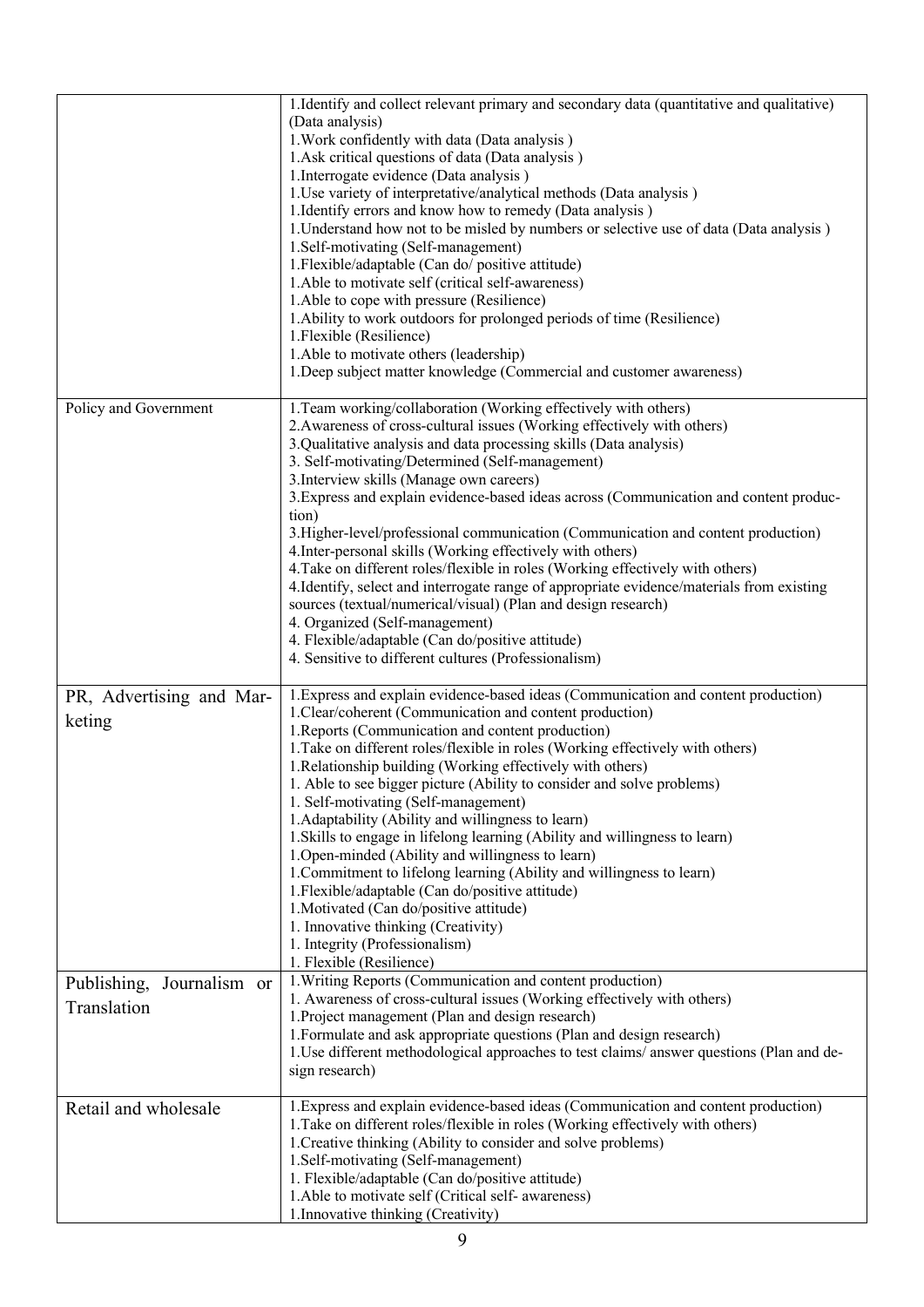|                                             | 1. Identify and collect relevant primary and secondary data (quantitative and qualitative)<br>(Data analysis)<br>1. Work confidently with data (Data analysis)<br>1.Ask critical questions of data (Data analysis)<br>1. Interrogate evidence (Data analysis)<br>1. Use variety of interpretative/analytical methods (Data analysis)<br>1. Identify errors and know how to remedy (Data analysis)<br>1. Understand how not to be misled by numbers or selective use of data (Data analysis)<br>1.Self-motivating (Self-management)<br>1. Flexible/adaptable (Can do/ positive attitude)<br>1. Able to motivate self (critical self-awareness)<br>1. Able to cope with pressure (Resilience)<br>1. Ability to work outdoors for prolonged periods of time (Resilience)<br>1. Flexible (Resilience)<br>1.Able to motivate others (leadership)<br>1. Deep subject matter knowledge (Commercial and customer awareness)                                                |
|---------------------------------------------|--------------------------------------------------------------------------------------------------------------------------------------------------------------------------------------------------------------------------------------------------------------------------------------------------------------------------------------------------------------------------------------------------------------------------------------------------------------------------------------------------------------------------------------------------------------------------------------------------------------------------------------------------------------------------------------------------------------------------------------------------------------------------------------------------------------------------------------------------------------------------------------------------------------------------------------------------------------------|
| Policy and Government                       | 1. Team working/collaboration (Working effectively with others)<br>2. Awareness of cross-cultural issues (Working effectively with others)<br>3. Qualitative analysis and data processing skills (Data analysis)<br>3. Self-motivating/Determined (Self-management)<br>3. Interview skills (Manage own careers)<br>3. Express and explain evidence-based ideas across (Communication and content produc-<br>tion)<br>3. Higher-level/professional communication (Communication and content production)<br>4. Inter-personal skills (Working effectively with others)<br>4. Take on different roles/flexible in roles (Working effectively with others)<br>4. Identify, select and interrogate range of appropriate evidence/materials from existing<br>sources (textual/numerical/visual) (Plan and design research)<br>4. Organized (Self-management)<br>4. Flexible/adaptable (Can do/positive attitude)<br>4. Sensitive to different cultures (Professionalism) |
| PR, Advertising and Mar-<br>keting          | 1. Express and explain evidence-based ideas (Communication and content production)<br>1. Clear/coherent (Communication and content production)<br>1. Reports (Communication and content production)<br>1. Take on different roles/flexible in roles (Working effectively with others)<br>1. Relationship building (Working effectively with others)<br>1. Able to see bigger picture (Ability to consider and solve problems)<br>1. Self-motivating (Self-management)<br>1. Adaptability (Ability and willingness to learn)<br>1. Skills to engage in lifelong learning (Ability and willingness to learn)<br>1. Open-minded (Ability and willingness to learn)<br>1. Commitment to lifelong learning (Ability and willingness to learn)<br>1. Flexible/adaptable (Can do/positive attitude)<br>1. Motivated (Can do/positive attitude)<br>1. Innovative thinking (Creativity)<br>1. Integrity (Professionalism)<br>1. Flexible (Resilience)                       |
| Journalism or<br>Publishing,<br>Translation | 1. Writing Reports (Communication and content production)<br>1. Awareness of cross-cultural issues (Working effectively with others)<br>1. Project management (Plan and design research)<br>1. Formulate and ask appropriate questions (Plan and design research)<br>1. Use different methodological approaches to test claims/answer questions (Plan and de-<br>sign research)                                                                                                                                                                                                                                                                                                                                                                                                                                                                                                                                                                                    |
| Retail and wholesale                        | 1. Express and explain evidence-based ideas (Communication and content production)<br>1. Take on different roles/flexible in roles (Working effectively with others)<br>1. Creative thinking (Ability to consider and solve problems)<br>1.Self-motivating (Self-management)<br>1. Flexible/adaptable (Can do/positive attitude)<br>1. Able to motivate self (Critical self- awareness)<br>1. Innovative thinking (Creativity)                                                                                                                                                                                                                                                                                                                                                                                                                                                                                                                                     |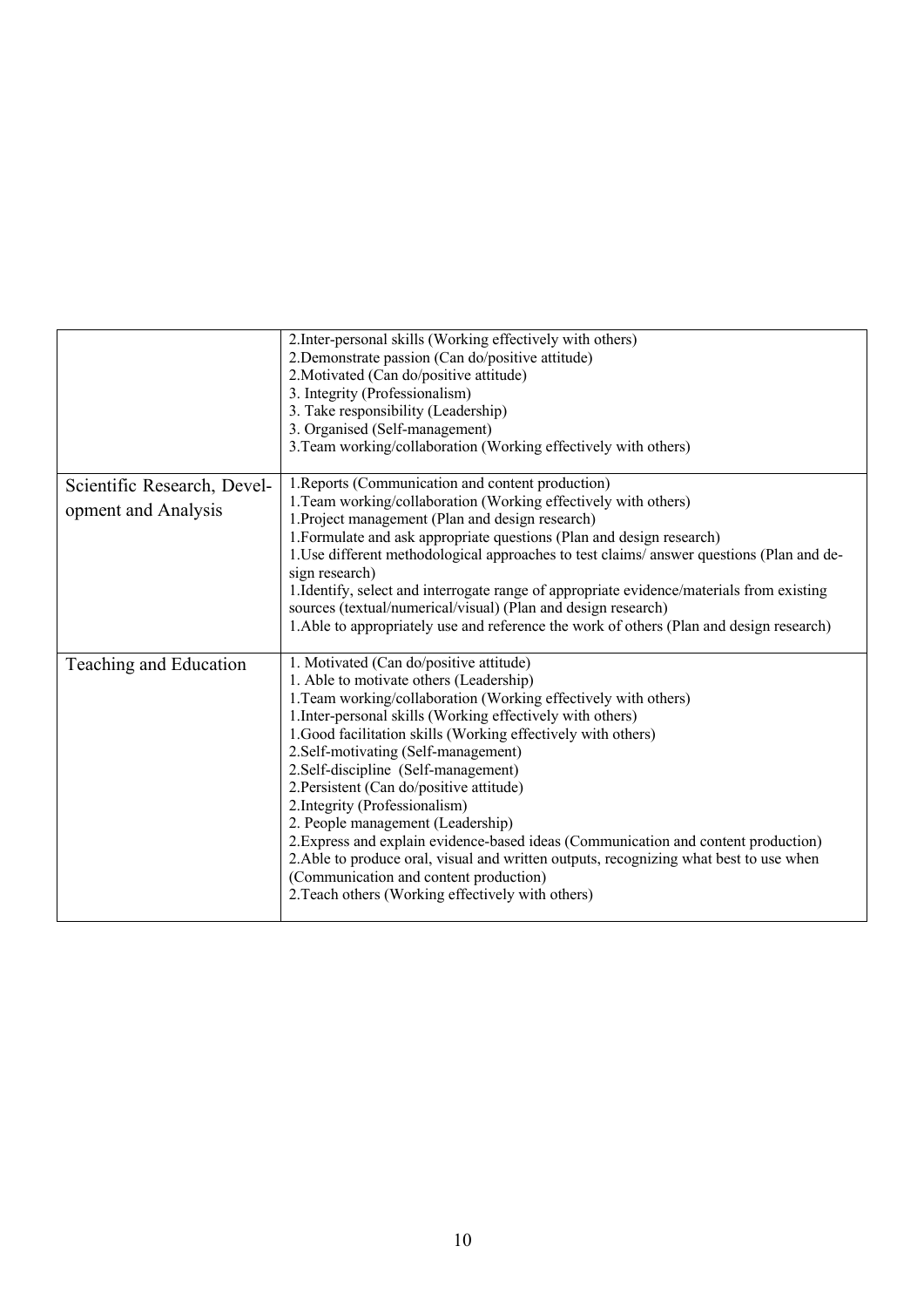|                                                    | 2. Inter-personal skills (Working effectively with others)<br>2. Demonstrate passion (Can do/positive attitude)<br>2. Motivated (Can do/positive attitude)<br>3. Integrity (Professionalism)<br>3. Take responsibility (Leadership)<br>3. Organised (Self-management)<br>3. Team working/collaboration (Working effectively with others)                                                                                                                                                                                                                                                                                                                                                                                                                             |
|----------------------------------------------------|----------------------------------------------------------------------------------------------------------------------------------------------------------------------------------------------------------------------------------------------------------------------------------------------------------------------------------------------------------------------------------------------------------------------------------------------------------------------------------------------------------------------------------------------------------------------------------------------------------------------------------------------------------------------------------------------------------------------------------------------------------------------|
| Scientific Research, Devel-<br>opment and Analysis | 1. Reports (Communication and content production)<br>1. Team working/collaboration (Working effectively with others)<br>1. Project management (Plan and design research)<br>1. Formulate and ask appropriate questions (Plan and design research)<br>1. Use different methodological approaches to test claims/answer questions (Plan and de-<br>sign research)<br>1. Identify, select and interrogate range of appropriate evidence/materials from existing<br>sources (textual/numerical/visual) (Plan and design research)<br>1. Able to appropriately use and reference the work of others (Plan and design research)                                                                                                                                            |
| Teaching and Education                             | 1. Motivated (Can do/positive attitude)<br>1. Able to motivate others (Leadership)<br>1. Team working/collaboration (Working effectively with others)<br>1. Inter-personal skills (Working effectively with others)<br>1.Good facilitation skills (Working effectively with others)<br>2. Self-motivating (Self-management)<br>2.Self-discipline (Self-management)<br>2. Persistent (Can do/positive attitude)<br>2. Integrity (Professionalism)<br>2. People management (Leadership)<br>2. Express and explain evidence-based ideas (Communication and content production)<br>2. Able to produce oral, visual and written outputs, recognizing what best to use when<br>(Communication and content production)<br>2. Teach others (Working effectively with others) |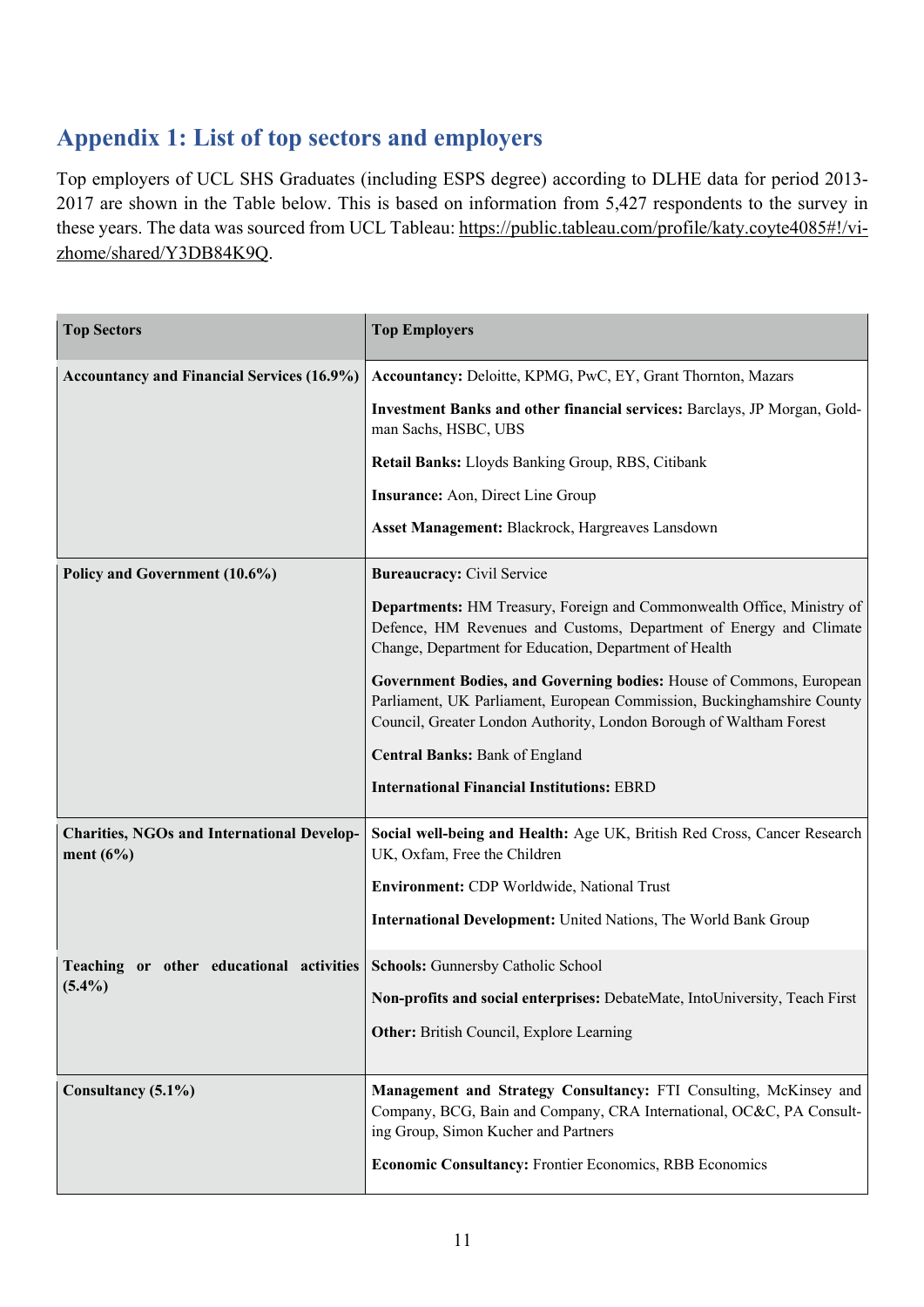# **Appendix 1: List of top sectors and employers**

Top employers of UCL SHS Graduates (including ESPS degree) according to DLHE data for period 2013- 2017 are shown in the Table below. This is based on information from 5,427 respondents to the survey in these years. The data was sourced from UCL Tableau: https://public.tableau.com/profile/katy.coyte4085#!/vizhome/shared/Y3DB84K9Q.

| <b>Top Sectors</b>                                               | <b>Top Employers</b>                                                                                                                                                                                                                         |
|------------------------------------------------------------------|----------------------------------------------------------------------------------------------------------------------------------------------------------------------------------------------------------------------------------------------|
| <b>Accountancy and Financial Services (16.9%)</b>                | Accountancy: Deloitte, KPMG, PwC, EY, Grant Thornton, Mazars                                                                                                                                                                                 |
|                                                                  | Investment Banks and other financial services: Barclays, JP Morgan, Gold-<br>man Sachs, HSBC, UBS                                                                                                                                            |
|                                                                  | Retail Banks: Lloyds Banking Group, RBS, Citibank                                                                                                                                                                                            |
|                                                                  | <b>Insurance:</b> Aon, Direct Line Group                                                                                                                                                                                                     |
|                                                                  | Asset Management: Blackrock, Hargreaves Lansdown                                                                                                                                                                                             |
| Policy and Government (10.6%)                                    | <b>Bureaucracy:</b> Civil Service                                                                                                                                                                                                            |
|                                                                  | Departments: HM Treasury, Foreign and Commonwealth Office, Ministry of<br>Defence, HM Revenues and Customs, Department of Energy and Climate<br>Change, Department for Education, Department of Health                                       |
|                                                                  | Government Bodies, and Governing bodies: House of Commons, European<br>Parliament, UK Parliament, European Commission, Buckinghamshire County<br>Council, Greater London Authority, London Borough of Waltham Forest                         |
|                                                                  | <b>Central Banks: Bank of England</b>                                                                                                                                                                                                        |
|                                                                  | <b>International Financial Institutions: EBRD</b>                                                                                                                                                                                            |
| <b>Charities, NGOs and International Develop-</b><br>ment $(6%)$ | Social well-being and Health: Age UK, British Red Cross, Cancer Research<br>UK, Oxfam, Free the Children                                                                                                                                     |
|                                                                  | Environment: CDP Worldwide, National Trust                                                                                                                                                                                                   |
|                                                                  | <b>International Development:</b> United Nations, The World Bank Group                                                                                                                                                                       |
| Teaching or other educational activities                         | Schools: Gunnersby Catholic School                                                                                                                                                                                                           |
| $(5.4\%)$                                                        | Non-profits and social enterprises: DebateMate, IntoUniversity, Teach First                                                                                                                                                                  |
|                                                                  | <b>Other:</b> British Council, Explore Learning                                                                                                                                                                                              |
| Consultancy (5.1%)                                               | Management and Strategy Consultancy: FTI Consulting, McKinsey and<br>Company, BCG, Bain and Company, CRA International, OC&C, PA Consult-<br>ing Group, Simon Kucher and Partners<br>Economic Consultancy: Frontier Economics, RBB Economics |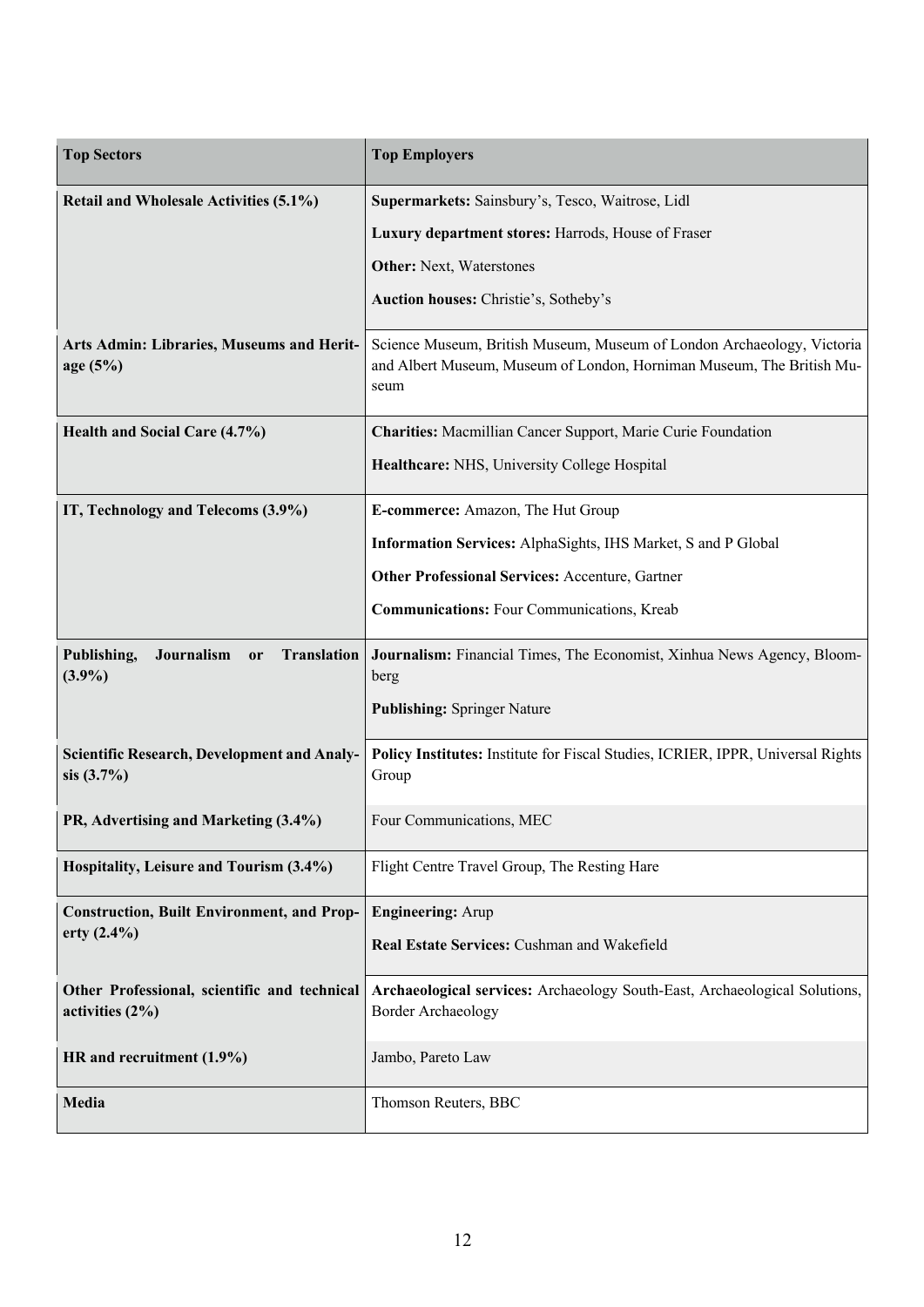| <b>Top Sectors</b>                                                            | <b>Top Employers</b>                                                                                                                                    |
|-------------------------------------------------------------------------------|---------------------------------------------------------------------------------------------------------------------------------------------------------|
| Retail and Wholesale Activities (5.1%)                                        | Supermarkets: Sainsbury's, Tesco, Waitrose, Lidl                                                                                                        |
|                                                                               | Luxury department stores: Harrods, House of Fraser                                                                                                      |
|                                                                               | <b>Other:</b> Next, Waterstones                                                                                                                         |
|                                                                               | Auction houses: Christie's, Sotheby's                                                                                                                   |
| Arts Admin: Libraries, Museums and Herit-<br>age (5%)                         | Science Museum, British Museum, Museum of London Archaeology, Victoria<br>and Albert Museum, Museum of London, Horniman Museum, The British Mu-<br>seum |
| Health and Social Care (4.7%)                                                 | Charities: Macmillian Cancer Support, Marie Curie Foundation                                                                                            |
|                                                                               | Healthcare: NHS, University College Hospital                                                                                                            |
| IT, Technology and Telecoms (3.9%)                                            | E-commerce: Amazon, The Hut Group                                                                                                                       |
|                                                                               | Information Services: AlphaSights, IHS Market, S and P Global                                                                                           |
|                                                                               | <b>Other Professional Services: Accenture, Gartner</b>                                                                                                  |
|                                                                               | <b>Communications:</b> Four Communications, Kreab                                                                                                       |
| Publishing,<br>Journalism<br><b>Translation</b><br><sub>or</sub><br>$(3.9\%)$ | Journalism: Financial Times, The Economist, Xinhua News Agency, Bloom-<br>berg                                                                          |
|                                                                               | <b>Publishing: Springer Nature</b>                                                                                                                      |
| <b>Scientific Research, Development and Analy-</b><br>sis (3.7%)              | Policy Institutes: Institute for Fiscal Studies, ICRIER, IPPR, Universal Rights<br>Group                                                                |
| PR, Advertising and Marketing (3.4%)                                          | Four Communications, MEC                                                                                                                                |
| Hospitality, Leisure and Tourism (3.4%)                                       | Flight Centre Travel Group, The Resting Hare                                                                                                            |
| <b>Construction, Built Environment, and Prop-</b>                             | <b>Engineering: Arup</b>                                                                                                                                |
| erty $(2.4\%)$                                                                | Real Estate Services: Cushman and Wakefield                                                                                                             |
| Other Professional, scientific and technical<br>activities $(2\%)$            | Archaeological services: Archaeology South-East, Archaeological Solutions,<br><b>Border Archaeology</b>                                                 |
| HR and recruitment (1.9%)                                                     | Jambo, Pareto Law                                                                                                                                       |
| Media                                                                         | Thomson Reuters, BBC                                                                                                                                    |